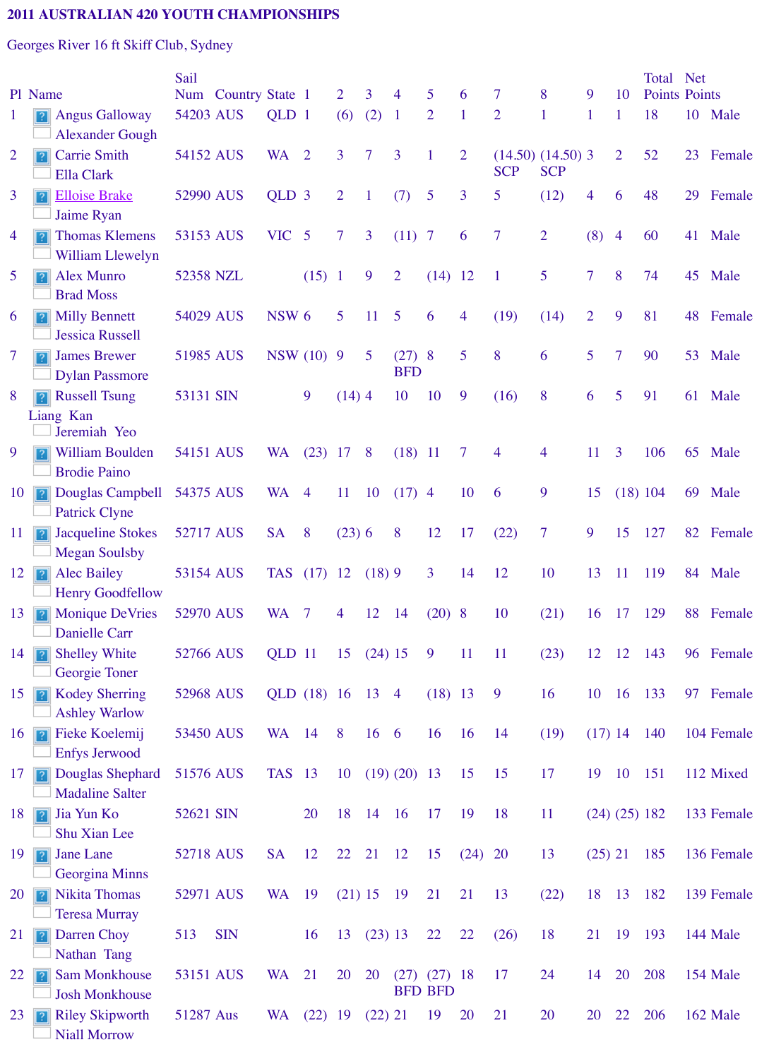|    | <b>James Brewer</b><br>1?                                      | 51985 AUS |            | NSW (10) 9    |           |               | 5 <sup>1</sup> | (27)8          |                        | 5         | 8              |   |
|----|----------------------------------------------------------------|-----------|------------|---------------|-----------|---------------|----------------|----------------|------------------------|-----------|----------------|---|
|    | <b>Dylan Passmore</b>                                          |           |            |               |           |               |                | <b>BFD</b>     |                        |           |                |   |
| 8  | <b>Russell Tsung</b>                                           | 53131 SIN |            |               | 9         | $(14)$ 4      |                | 10             | 10                     | 9         | (16)           | 8 |
|    | Liang Kan<br>Jeremiah Yeo                                      |           |            |               |           |               |                |                |                        |           |                |   |
| 9  | <b>William Boulden</b><br><b>Brodie Paino</b>                  | 54151 AUS |            | <b>WA</b>     | (23)      | 17            | 8              | $(18)$ 11      |                        | $\tau$    | $\overline{4}$ |   |
| 10 | Douglas Campbell<br>$\overline{?}$<br><b>Patrick Clyne</b>     | 54375 AUS |            | $WA$ 4        |           | <sup>11</sup> | 10             | (17)           | $\overline{4}$         | 10        | 6              |   |
| 11 | <b>Jacqueline Stokes</b><br>$\sqrt{2}$<br><b>Megan Soulsby</b> | 52717 AUS |            | <b>SA</b>     | 8         | $(23)$ 6      |                | 8              | 12                     | 17        | (22)           |   |
| 12 | <b>Alec Bailey</b><br>$\sqrt{2}$<br><b>Henry Goodfellow</b>    | 53154 AUS |            | TAS (17) 12   |           |               | (18)9          |                | $\overline{3}$         | 14        | 12             |   |
| 13 | <b>Monique DeVries</b><br>$\vert$ ?<br>Danielle Carr           | 52970 AUS |            | WA 7          |           | 4             | 12             | 14             | $(20)$ 8               |           | 10             |   |
| 14 | <b>Shelley White</b><br>$\overline{?}$<br>Georgie Toner        | 52766 AUS |            | QLD 11        |           | 15            | $(24)$ 15      |                | 9                      | 11        | <sup>11</sup>  |   |
| 15 | <b>Kodey Sherring</b><br> ? <br><b>Ashley Warlow</b>           | 52968 AUS |            | QLD (18) 16   |           |               | 13             | $\overline{4}$ | $(18)$ 13              |           | 9              |   |
| 16 | Fieke Koelemij<br>$\sqrt{2}$<br><b>Enfys Jerwood</b>           | 53450 AUS |            | <b>WA</b>     | 14        | 8             | 16             | 6              | <b>16</b>              | 16        | 14             |   |
| 17 | Douglas Shephard<br> 2 <br><b>Madaline Salter</b>              | 51576 AUS |            | <b>TAS</b> 13 |           | 10            |                | (19) (20) 13   |                        | 15        | 15             |   |
| 18 | Jia Yun Ko<br>$\sqrt{2}$<br>Shu Xian Lee                       | 52621 SIN |            |               | <b>20</b> | 18            | 14             | <b>16</b>      | 17                     | 19        | 18             |   |
| 19 | <b>Jane Lane</b><br>$\overline{?}$<br>Georgina Minns           | 52718 AUS |            | <b>SA</b>     | 12        | 22            | 21             | 12             | 15                     | (24)      | <b>20</b>      |   |
| 20 | <b>Nikita Thomas</b><br>2<br><b>Teresa Murray</b>              | 52971 AUS |            | <b>WA</b>     | 19        | $(21)$ 15     |                | 19             | 21                     | 21        | 13             |   |
| 21 | Darren Choy<br>$\overline{?}$<br>Nathan Tang                   | 513       | <b>SIN</b> |               | 16        | 13            | (23) 13        |                | 22                     | 22        | (26)           |   |
| 22 | <b>Sam Monkhouse</b><br> 2 <br><b>Josh Monkhouse</b>           | 53151 AUS |            | <b>WA</b>     | 21        | 20            | 20             | (27)           | (27)<br><b>BFD BFD</b> | 18        | 17             |   |
| 23 | <b>Riley Skipworth</b><br> ? <br><b>Niall Morrow</b>           | 51287 Aus |            | <b>WA</b>     | (22)      | 19            | $(22)$ 21      |                | 19                     | <b>20</b> | 21             |   |
|    |                                                                |           |            |               |           |               |                |                |                        |           |                |   |